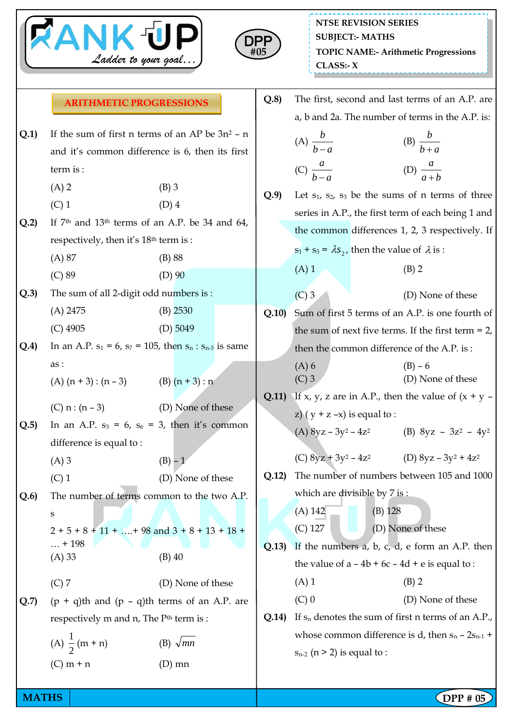



|      | <b>ARITHMETIC PROGRESSIONS</b>                      |                                                                   | Q.8   |                                                              |                                                       | The first, second and last terms of an A.P. are              |
|------|-----------------------------------------------------|-------------------------------------------------------------------|-------|--------------------------------------------------------------|-------------------------------------------------------|--------------------------------------------------------------|
|      |                                                     |                                                                   |       | a, b and 2a. The number of terms in the A.P. is:             |                                                       |                                                              |
| Q.1) | If the sum of first n terms of an AP be $3n^2 - n$  |                                                                   |       | (B) $\frac{b}{b+a}$<br>(A) $\frac{b}{b-a}$                   |                                                       |                                                              |
|      | and it's common difference is 6, then its first     |                                                                   |       |                                                              |                                                       |                                                              |
|      | term is :                                           |                                                                   |       | (C) $\frac{a}{b-a}$                                          |                                                       | (D) $\frac{a}{a+b}$                                          |
|      | $(A)$ 2                                             | $(B)$ 3                                                           | Q.9   |                                                              |                                                       | Let $s_1$ , $s_2$ , $s_3$ be the sums of n terms of three    |
|      | $(C)$ 1                                             | $(D)$ 4                                                           |       |                                                              |                                                       | series in A.P., the first term of each being 1 and           |
| Q.2  | If $7th$ and $13th$ terms of an A.P. be 34 and 64,  |                                                                   |       | the common differences 1, 2, 3 respectively. If              |                                                       |                                                              |
|      | respectively, then it's 18 <sup>th</sup> term is :  |                                                                   |       | $s_1 + s_3 = \lambda s_2$ , then the value of $\lambda$ is : |                                                       |                                                              |
|      | (A) 87                                              | (B) 88                                                            |       |                                                              |                                                       | $(B)$ 2                                                      |
|      | $(C)$ 89                                            | $(D)$ 90                                                          |       | $(A)$ 1                                                      |                                                       |                                                              |
| Q.3  | The sum of all 2-digit odd numbers is :             |                                                                   |       | $(C)$ 3                                                      |                                                       | (D) None of these                                            |
|      | $(A)$ 2475                                          | $(B)$ 2530                                                        | Q.10  |                                                              |                                                       | Sum of first 5 terms of an A.P. is one fourth of             |
|      | $(C)$ 4905                                          | (D) $5049$                                                        |       |                                                              |                                                       | the sum of next five terms. If the first term $= 2$ ,        |
| Q.4  |                                                     | In an A.P. $s_1 = 6$ , $s_7 = 105$ , then $s_n : s_{n-3}$ is same |       |                                                              |                                                       | then the common difference of the A.P. is:                   |
|      | as:                                                 |                                                                   |       | $(A)$ 6                                                      |                                                       | $(B) - 6$                                                    |
|      | (A) $(n + 3) : (n - 3)$ (B) $(n + 3) : n$           |                                                                   |       | $(C)$ 3                                                      |                                                       | (D) None of these                                            |
|      | (C) $n:(n-3)$                                       | (D) None of these                                                 | Q.11) |                                                              |                                                       | If x, y, z are in A.P., then the value of $(x + y -$         |
| Q.5  |                                                     | In an A.P. $s_3 = 6$ , $s_6 = 3$ , then it's common               |       | z) $(y + z - x)$ is equal to :                               |                                                       |                                                              |
|      | difference is equal to:                             |                                                                   |       |                                                              |                                                       | (A) $8yz - 3y^2 - 4z^2$ (B) $8yz - 3z^2 - 4y^2$              |
|      | $(A)$ 3                                             | $(B) - 1$                                                         |       |                                                              |                                                       | (C) $8yz + 3y^2 - 4z^2$ (D) $8yz - 3y^2 + 4z^2$              |
|      | $(C)$ 1                                             | (D) None of these                                                 | Q.12) |                                                              |                                                       | The number of numbers between 105 and 1000                   |
| Q.6  |                                                     | The number of terms common to the two A.P.                        |       | which are divisible by 7 is:                                 |                                                       |                                                              |
|      | S                                                   |                                                                   |       | $(A)$ 142                                                    | $(B)$ 128                                             |                                                              |
|      | $2 + 5 + 8 + 11 +  + 98$ and $3 + 8 + 13 + 18 + $   |                                                                   |       | $(C)$ 127                                                    |                                                       | (D) None of these                                            |
|      | $\dots$ + 198                                       |                                                                   | Q.13) |                                                              |                                                       | If the numbers $a$ , $b$ , $c$ , $d$ , $e$ form an A.P. then |
|      | (A) 33                                              | $(B)$ 40                                                          |       |                                                              |                                                       | the value of $a - 4b + 6c - 4d + e$ is equal to :            |
|      | $(C)$ 7                                             | (D) None of these                                                 |       | $(A)$ 1                                                      |                                                       | $(B)$ 2                                                      |
| Q.7  |                                                     | $(p + q)$ th and $(p - q)$ th terms of an A.P. are                |       | $(C)$ 0                                                      |                                                       | (D) None of these                                            |
|      | respectively m and n, The P <sup>th</sup> term is : |                                                                   |       |                                                              | If $s_n$ denotes the sum of first n terms of an A.P., |                                                              |
|      |                                                     |                                                                   | Q.14) | whose common difference is d, then $s_n - 2s_{n-1}$ +        |                                                       |                                                              |
|      | (A) $\frac{1}{2}$ (m + n)                           | (B) $\sqrt{mn}$                                                   |       | $s_{n-2}$ (n > 2) is equal to :                              |                                                       |                                                              |
|      | $(C)$ m + n                                         | $(D)$ mn                                                          |       |                                                              |                                                       |                                                              |

**MATHS** DPP # 05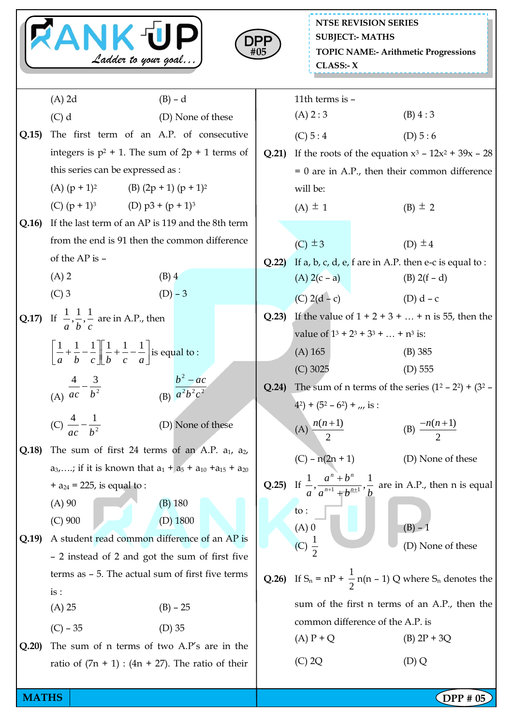| <b>RANK UP</b><br>Ladder to your goal |                                                                                                                               |                   |                   | <b>NTSE REVISION SERIES</b><br><b>SUBJECT:- MATHS</b><br>DPF<br><b>TOPIC NAME:- Arithmetic Progressions</b><br>#05<br>CLASS: X |                                                                                                                    |  |  |
|---------------------------------------|-------------------------------------------------------------------------------------------------------------------------------|-------------------|-------------------|--------------------------------------------------------------------------------------------------------------------------------|--------------------------------------------------------------------------------------------------------------------|--|--|
|                                       | $(A)$ 2d                                                                                                                      | $(B) - d$         |                   | 11th terms is -                                                                                                                |                                                                                                                    |  |  |
|                                       | $(C)$ d                                                                                                                       | (D) None of these |                   | (A) 2:3                                                                                                                        | (B) 4:3                                                                                                            |  |  |
| Q.15                                  | The first term of an A.P. of consecutive                                                                                      |                   |                   | (C) 5:4                                                                                                                        | (D) $5:6$                                                                                                          |  |  |
|                                       | integers is $p^2 + 1$ . The sum of $2p + 1$ terms of                                                                          |                   |                   |                                                                                                                                | If the roots of the equation $x^3$ – $12x^2$ + 39x – 28                                                            |  |  |
|                                       | this series can be expressed as :                                                                                             |                   |                   | $= 0$ are in A.P., then their common difference                                                                                |                                                                                                                    |  |  |
|                                       | (A) $(p + 1)^2$ (B) $(2p + 1) (p + 1)^2$                                                                                      |                   |                   | will be:                                                                                                                       |                                                                                                                    |  |  |
|                                       | (C) $(p + 1)^3$<br>(D) $p3 + (p + 1)^3$                                                                                       |                   |                   | $(A) \pm 1$                                                                                                                    | (B) $\pm$ 2                                                                                                        |  |  |
| Q.16                                  | If the last term of an AP is 119 and the 8th term                                                                             |                   |                   |                                                                                                                                |                                                                                                                    |  |  |
|                                       | from the end is 91 then the common difference                                                                                 |                   |                   | $(C) \pm 3$                                                                                                                    | (D) $\pm 4$                                                                                                        |  |  |
|                                       | of the AP is -                                                                                                                |                   | Q.22              |                                                                                                                                | If $a$ , $b$ , $c$ , $d$ , $e$ , $f$ are in A.P. then e-c is equal to :                                            |  |  |
|                                       | $(A)$ 2<br>$(B)$ 4                                                                                                            |                   |                   | $(A) 2(c - a)$                                                                                                                 | (B) $2(f - d)$                                                                                                     |  |  |
|                                       | $(C)$ 3                                                                                                                       | $(D) - 3$         |                   | (C) $2(d - c)$                                                                                                                 | (D) $d - c$                                                                                                        |  |  |
|                                       | <b>Q.17)</b> If $\frac{1}{a}, \frac{1}{b}, \frac{1}{c}$ are in A.P., then                                                     |                   | Q.23              | If the value of $1 + 2 + 3 +  + n$ is 55, then the                                                                             |                                                                                                                    |  |  |
|                                       |                                                                                                                               |                   |                   | value of $1^3 + 2^3 + 3^3 +  + n^3$ is:                                                                                        |                                                                                                                    |  |  |
|                                       | $\left  \frac{1}{a} + \frac{1}{b} - \frac{1}{c} \right  \left  \frac{1}{b} + \frac{1}{c} - \frac{1}{a} \right $ is equal to : |                   |                   | $(A)$ 165                                                                                                                      | $(B)$ 385                                                                                                          |  |  |
|                                       |                                                                                                                               |                   |                   | $(C)$ 3025                                                                                                                     | $(D)$ 555                                                                                                          |  |  |
|                                       | $b^2-ac$<br>(A) $\frac{4}{ac} - \frac{3}{b^2}$<br>(B) $\overline{a^2b^2c^2}$                                                  |                   |                   | The sum of n terms of the series $(1^2 – 2^2) + (3^2 – 1^2)$                                                                   |                                                                                                                    |  |  |
|                                       |                                                                                                                               |                   |                   | $(4^2) + (5^2 - 6^2) + \ldots$ is :                                                                                            |                                                                                                                    |  |  |
|                                       | (C) $\frac{4}{ac} - \frac{1}{b^2}$                                                                                            | (D) None of these |                   | (A) $\frac{n(n+1)}{2}$                                                                                                         | (B) $\frac{-n(n+1)}{2}$                                                                                            |  |  |
| Q.18)                                 | The sum of first 24 terms of an A.P. $a_1$ , $a_2$ ,                                                                          |                   |                   |                                                                                                                                |                                                                                                                    |  |  |
|                                       | $a_3,$ ; if it is known that $a_1 + a_5 + a_{10} + a_{15} + a_{20}$                                                           |                   | $(C) - n(2n + 1)$ | (D) None of these                                                                                                              |                                                                                                                    |  |  |
|                                       | + $a_{24}$ = 225, is equal to :                                                                                               |                   |                   |                                                                                                                                | <b>Q.25)</b> If $\frac{1}{a}$ , $\frac{a^n + b^n}{a^{n+1} + b^{n+1}}$ , $\frac{1}{b}$ are in A.P., then n is equal |  |  |
|                                       | $(A)$ 90                                                                                                                      | $(B)$ 180         |                   | to:                                                                                                                            |                                                                                                                    |  |  |
|                                       | $(C)$ 900                                                                                                                     | $(D)$ 1800        |                   | $(A)$ 0                                                                                                                        | $(B) - 1$                                                                                                          |  |  |
| Q.19                                  | A student read common difference of an AP is                                                                                  |                   |                   | (C) $\frac{1}{2}$                                                                                                              | (D) None of these                                                                                                  |  |  |
|                                       | - 2 instead of 2 and got the sum of first five                                                                                |                   |                   |                                                                                                                                |                                                                                                                    |  |  |
|                                       | terms as $-5$ . The actual sum of first five terms                                                                            |                   |                   | <b>Q.26</b> ) If $S_n = nP + \frac{1}{2}n(n - 1) Q$ where $S_n$ denotes the                                                    |                                                                                                                    |  |  |
|                                       | is:                                                                                                                           |                   |                   |                                                                                                                                | sum of the first n terms of an A.P., then the                                                                      |  |  |
|                                       | $(A)$ 25                                                                                                                      | $(B) - 25$        |                   |                                                                                                                                | common difference of the A.P. is                                                                                   |  |  |
|                                       | $(D)$ 35<br>$(C) - 35$                                                                                                        |                   |                   | $(A)P+Q$                                                                                                                       | $(B)$ 2P + 3Q                                                                                                      |  |  |
| Q.20                                  | The sum of n terms of two A.P's are in the                                                                                    |                   |                   |                                                                                                                                |                                                                                                                    |  |  |
|                                       | ratio of $(7n + 1)$ : $(4n + 27)$ . The ratio of their                                                                        |                   |                   | $(C)$ 2Q                                                                                                                       | (D) Q                                                                                                              |  |  |
| <b>MATHS</b>                          |                                                                                                                               |                   |                   |                                                                                                                                | DPP # 05                                                                                                           |  |  |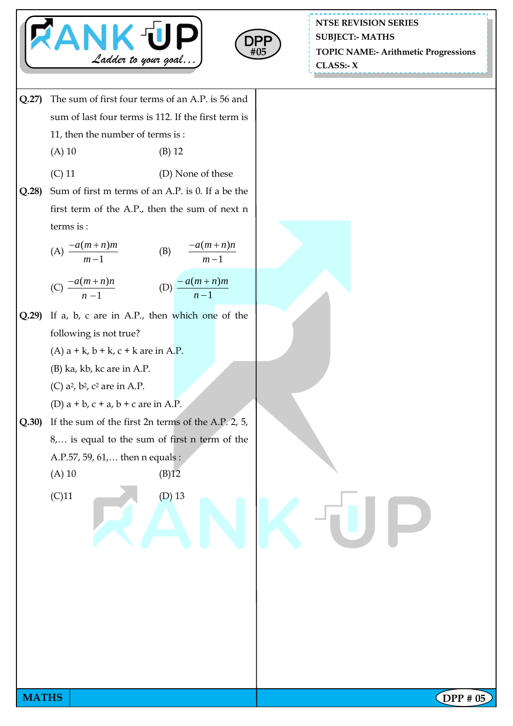



**NTSE REVISION SERIES TOPIC NAME:- Arithmetic Progressions CLASS:- X SUBJECT:- MATHS**



**MATHS**  $\begin{bmatrix} \text{DPP } # 05 \end{bmatrix}$